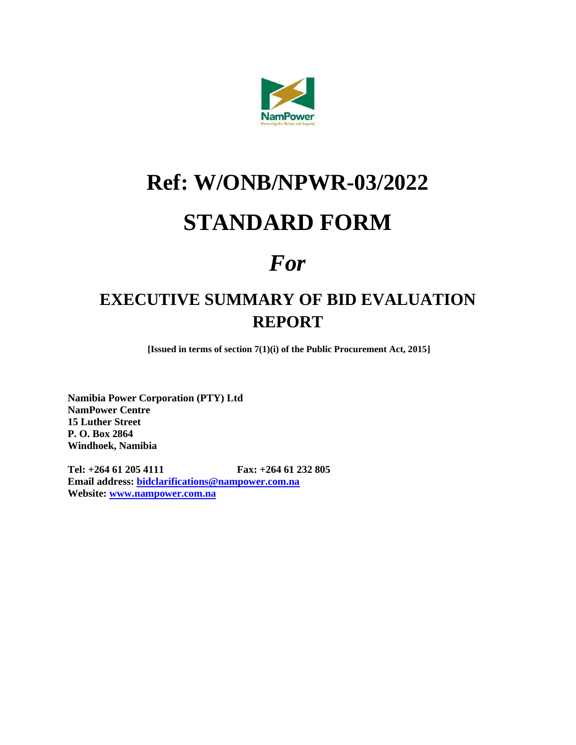

# **Ref: W/ONB/NPWR-03/2022**

### **STANDARD FORM**

## *For*

### **EXECUTIVE SUMMARY OF BID EVALUATION REPORT**

**[Issued in terms of section 7(1)(i) of the Public Procurement Act, 2015]**

**Namibia Power Corporation (PTY) Ltd NamPower Centre 15 Luther Street P. O. Box 2864 Windhoek, Namibia**

**Tel: +264 61 205 4111 Fax: +264 61 232 805 Email address: [bidclarifications@nampower.com.na](mailto:bidclarifications@nampower.com.na) Website: [www.nampower.com.na](http://www.nampower.com.na/)**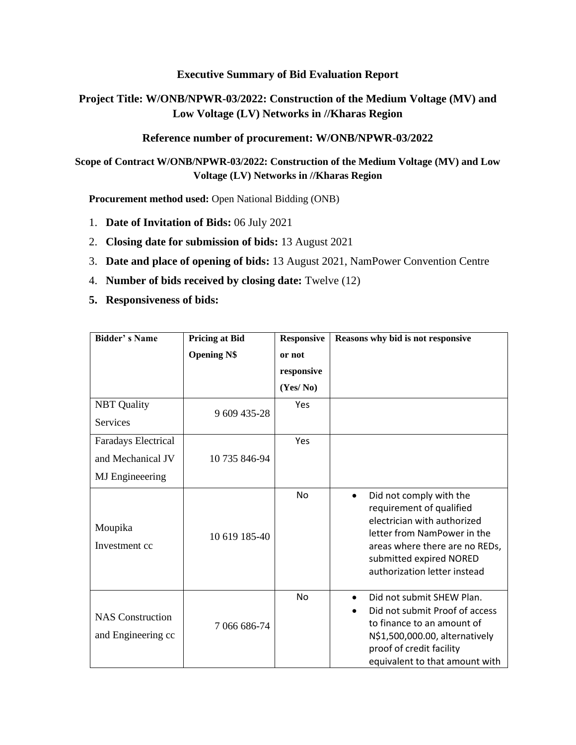#### **Executive Summary of Bid Evaluation Report**

#### **Project Title: W/ONB/NPWR-03/2022: Construction of the Medium Voltage (MV) and Low Voltage (LV) Networks in //Kharas Region**

#### **Reference number of procurement: W/ONB/NPWR-03/2022**

**Scope of Contract W/ONB/NPWR-03/2022: Construction of the Medium Voltage (MV) and Low Voltage (LV) Networks in //Kharas Region**

**Procurement method used:** Open National Bidding (ONB)

- 1. **Date of Invitation of Bids:** 06 July 2021
- 2. **Closing date for submission of bids:** 13 August 2021
- 3. **Date and place of opening of bids:** 13 August 2021, NamPower Convention Centre
- 4. **Number of bids received by closing date:** Twelve (12)
- **5. Responsiveness of bids:**

| <b>Bidder's Name</b>                          | <b>Pricing at Bid</b> | <b>Responsive</b> | Reasons why bid is not responsive                                                                                                                                                                                           |  |
|-----------------------------------------------|-----------------------|-------------------|-----------------------------------------------------------------------------------------------------------------------------------------------------------------------------------------------------------------------------|--|
|                                               | <b>Opening N\$</b>    | or not            |                                                                                                                                                                                                                             |  |
|                                               |                       | responsive        |                                                                                                                                                                                                                             |  |
|                                               |                       | (Yes/No)          |                                                                                                                                                                                                                             |  |
| <b>NBT</b> Quality                            | 9 609 435-28          | Yes               |                                                                                                                                                                                                                             |  |
| Services                                      |                       |                   |                                                                                                                                                                                                                             |  |
| Faradays Electrical                           |                       | Yes               |                                                                                                                                                                                                                             |  |
| and Mechanical JV                             | 10 735 846-94         |                   |                                                                                                                                                                                                                             |  |
| <b>MJ</b> Engineeering                        |                       |                   |                                                                                                                                                                                                                             |  |
| Moupika<br>Investment cc                      | 10 619 185-40         | <b>No</b>         | Did not comply with the<br>$\bullet$<br>requirement of qualified<br>electrician with authorized<br>letter from NamPower in the<br>areas where there are no REDs,<br>submitted expired NORED<br>authorization letter instead |  |
| <b>NAS</b> Construction<br>and Engineering cc | 7 066 686-74          | No                | Did not submit SHEW Plan.<br>$\bullet$<br>Did not submit Proof of access<br>$\bullet$<br>to finance to an amount of<br>N\$1,500,000.00, alternatively<br>proof of credit facility<br>equivalent to that amount with         |  |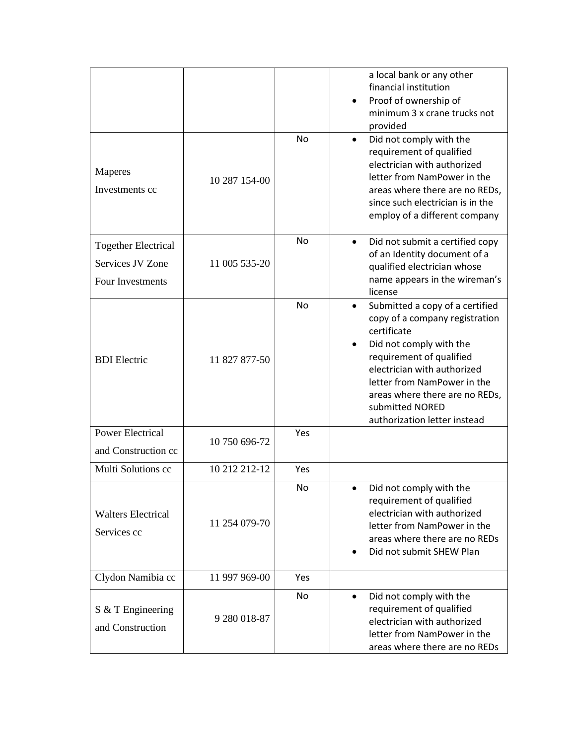|                                                                    |               |           | a local bank or any other<br>financial institution<br>Proof of ownership of<br>minimum 3 x crane trucks not<br>provided                                                                                                                                                                                 |
|--------------------------------------------------------------------|---------------|-----------|---------------------------------------------------------------------------------------------------------------------------------------------------------------------------------------------------------------------------------------------------------------------------------------------------------|
| Maperes<br>Investments cc                                          | 10 287 154-00 | No        | Did not comply with the<br>requirement of qualified<br>electrician with authorized<br>letter from NamPower in the<br>areas where there are no REDs,<br>since such electrician is in the<br>employ of a different company                                                                                |
| <b>Together Electrical</b><br>Services JV Zone<br>Four Investments | 11 005 535-20 | <b>No</b> | Did not submit a certified copy<br>of an Identity document of a<br>qualified electrician whose<br>name appears in the wireman's<br>license                                                                                                                                                              |
| <b>BDI</b> Electric                                                | 11 827 877-50 | No        | Submitted a copy of a certified<br>$\bullet$<br>copy of a company registration<br>certificate<br>Did not comply with the<br>requirement of qualified<br>electrician with authorized<br>letter from NamPower in the<br>areas where there are no REDs,<br>submitted NORED<br>authorization letter instead |
| Power Electrical<br>and Construction cc                            | 10 750 696-72 | Yes       |                                                                                                                                                                                                                                                                                                         |
| Multi Solutions cc                                                 | 10 212 212-12 | Yes       |                                                                                                                                                                                                                                                                                                         |
| <b>Walters Electrical</b><br>Services cc                           | 11 254 079-70 | No        | Did not comply with the<br>requirement of qualified<br>electrician with authorized<br>letter from NamPower in the<br>areas where there are no REDs<br>Did not submit SHEW Plan                                                                                                                          |
| Clydon Namibia cc                                                  | 11 997 969-00 | Yes       |                                                                                                                                                                                                                                                                                                         |
| S & T Engineering<br>and Construction                              | 9 280 018-87  | No        | Did not comply with the<br>$\bullet$<br>requirement of qualified<br>electrician with authorized<br>letter from NamPower in the<br>areas where there are no REDs                                                                                                                                         |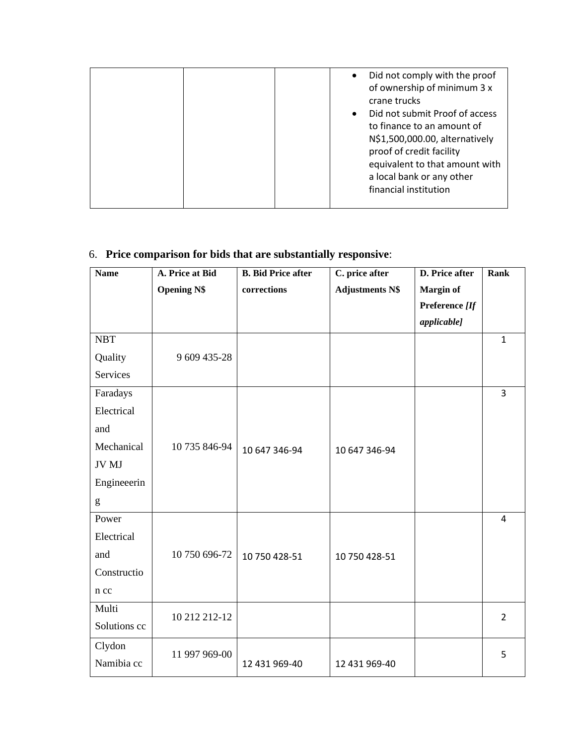|  | Did not comply with the proof<br>$\bullet$<br>of ownership of minimum 3 x<br>crane trucks<br>Did not submit Proof of access<br>$\bullet$<br>to finance to an amount of<br>N\$1,500,000.00, alternatively<br>proof of credit facility<br>equivalent to that amount with<br>a local bank or any other<br>financial institution |
|--|------------------------------------------------------------------------------------------------------------------------------------------------------------------------------------------------------------------------------------------------------------------------------------------------------------------------------|
|--|------------------------------------------------------------------------------------------------------------------------------------------------------------------------------------------------------------------------------------------------------------------------------------------------------------------------------|

### 6. **Price comparison for bids that are substantially responsive**:

| <b>Name</b>  | A. Price at Bid    | <b>B.</b> Bid Price after | C. price after         | D. Price after                     | Rank           |
|--------------|--------------------|---------------------------|------------------------|------------------------------------|----------------|
|              | <b>Opening N\$</b> | corrections               | <b>Adjustments N\$</b> | <b>Margin of</b><br>Preference [If |                |
|              |                    |                           |                        | applicable]                        |                |
| <b>NBT</b>   |                    |                           |                        |                                    | $\mathbf{1}$   |
| Quality      | 9 609 435-28       |                           |                        |                                    |                |
| Services     |                    |                           |                        |                                    |                |
| Faradays     |                    |                           |                        |                                    | $\overline{3}$ |
| Electrical   |                    |                           |                        |                                    |                |
| and          |                    |                           |                        |                                    |                |
| Mechanical   | 10 735 846-94      | 10 647 346-94             | 10 647 346-94          |                                    |                |
| JV MJ        |                    |                           |                        |                                    |                |
| Engineeerin  |                    |                           |                        |                                    |                |
| g            |                    |                           |                        |                                    |                |
| Power        |                    |                           |                        |                                    | $\overline{4}$ |
| Electrical   |                    |                           |                        |                                    |                |
| and          | 10 750 696-72      | 10 750 428-51             | 10 750 428-51          |                                    |                |
| Constructio  |                    |                           |                        |                                    |                |
| n cc         |                    |                           |                        |                                    |                |
| Multi        | 10 212 212-12      |                           |                        |                                    | $\overline{2}$ |
| Solutions cc |                    |                           |                        |                                    |                |
| Clydon       |                    |                           |                        |                                    | 5              |
| Namibia cc   | 11 997 969-00      | 12 431 969-40             | 12 431 969-40          |                                    |                |